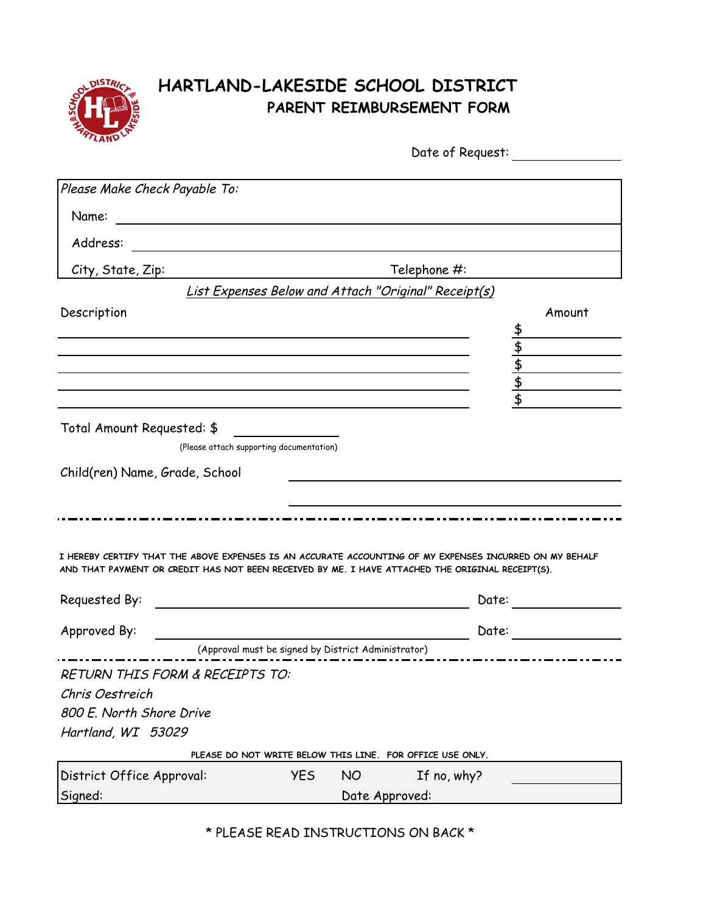

## **HARTLAND-LAKESIDE SCHOOL DISTRICT PARENT REIMBURSEMENT FORM**

| LANV                                                   | Date of Request:                                                                                                                                                                                            |                                                 |
|--------------------------------------------------------|-------------------------------------------------------------------------------------------------------------------------------------------------------------------------------------------------------------|-------------------------------------------------|
| Please Make Check Payable To:                          |                                                                                                                                                                                                             |                                                 |
| Name:<br><u> 1989 - Andrea Andrew Maria (h. 1989).</u> |                                                                                                                                                                                                             |                                                 |
| Address:                                               |                                                                                                                                                                                                             |                                                 |
|                                                        |                                                                                                                                                                                                             |                                                 |
| City, State, Zip:                                      | Telephone #:                                                                                                                                                                                                |                                                 |
|                                                        | List Expenses Below and Attach "Original" Receipt(s)                                                                                                                                                        |                                                 |
| Description                                            |                                                                                                                                                                                                             | Amount                                          |
|                                                        |                                                                                                                                                                                                             |                                                 |
|                                                        |                                                                                                                                                                                                             |                                                 |
|                                                        |                                                                                                                                                                                                             | $\frac{4}{3}$<br>$\frac{4}{3}$<br>$\frac{4}{3}$ |
|                                                        |                                                                                                                                                                                                             |                                                 |
|                                                        |                                                                                                                                                                                                             |                                                 |
| Total Amount Requested: \$                             |                                                                                                                                                                                                             |                                                 |
|                                                        | (Please attach supporting documentation)                                                                                                                                                                    |                                                 |
| Child(ren) Name, Grade, School                         |                                                                                                                                                                                                             |                                                 |
|                                                        |                                                                                                                                                                                                             |                                                 |
|                                                        |                                                                                                                                                                                                             |                                                 |
|                                                        |                                                                                                                                                                                                             |                                                 |
|                                                        | I HEREBY CERTIFY THAT THE ABOVE EXPENSES IS AN ACCURATE ACCOUNTING OF MY EXPENSES INCURRED ON MY BEHALF<br>AND THAT PAYMENT OR CREDIT HAS NOT BEEN RECEIVED BY ME. I HAVE ATTACHED THE ORIGINAL RECEIPT(S). |                                                 |
| Requested By:                                          | Date:                                                                                                                                                                                                       |                                                 |
|                                                        |                                                                                                                                                                                                             |                                                 |
| Approved By:                                           | Date:                                                                                                                                                                                                       |                                                 |
|                                                        | (Approval must be signed by District Administrator)                                                                                                                                                         |                                                 |
| <b>RETURN THIS FORM &amp; RECEIPTS TO:</b>             |                                                                                                                                                                                                             |                                                 |
| Chris Oestreich                                        |                                                                                                                                                                                                             |                                                 |
| 800 E. North Shore Drive                               |                                                                                                                                                                                                             |                                                 |
| Hartland, WI 53029                                     |                                                                                                                                                                                                             |                                                 |
|                                                        | PLEASE DO NOT WRITE BELOW THIS LINE. FOR OFFICE USE ONLY.                                                                                                                                                   |                                                 |
| District Office Approval:                              | <b>YES</b><br><b>NO</b><br>If no, why?                                                                                                                                                                      |                                                 |

\* PLEASE READ INSTRUCTIONS ON BACK \*